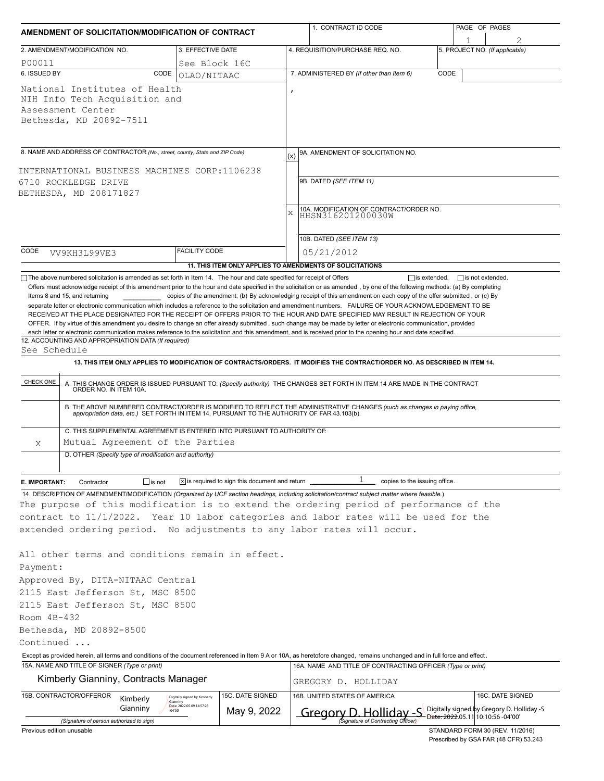| AMENDMENT OF SOLICITATION/MODIFICATION OF CONTRACT                                             |                                                                                                                                                                                                                                                                                                                                                                           |                                                                       |                                                                                                                                                                           |           | 1. CONTRACT ID CODE                                                                                                                                                                                                                                                                          |      | PAGE OF PAGES                               |                                |  |  |  |  |
|------------------------------------------------------------------------------------------------|---------------------------------------------------------------------------------------------------------------------------------------------------------------------------------------------------------------------------------------------------------------------------------------------------------------------------------------------------------------------------|-----------------------------------------------------------------------|---------------------------------------------------------------------------------------------------------------------------------------------------------------------------|-----------|----------------------------------------------------------------------------------------------------------------------------------------------------------------------------------------------------------------------------------------------------------------------------------------------|------|---------------------------------------------|--------------------------------|--|--|--|--|
|                                                                                                | 2. AMENDMENT/MODIFICATION NO.                                                                                                                                                                                                                                                                                                                                             | 3. EFFECTIVE DATE                                                     |                                                                                                                                                                           |           | 4. REQUISITION/PURCHASE REQ. NO.                                                                                                                                                                                                                                                             |      |                                             | 5. PROJECT NO. (If applicable) |  |  |  |  |
| P00011                                                                                         |                                                                                                                                                                                                                                                                                                                                                                           | See Block 16C                                                         |                                                                                                                                                                           |           |                                                                                                                                                                                                                                                                                              |      |                                             |                                |  |  |  |  |
| 6. ISSUED BY                                                                                   | CODE                                                                                                                                                                                                                                                                                                                                                                      | OLAO/NITAAC                                                           |                                                                                                                                                                           |           | 7. ADMINISTERED BY (If other than Item 6)                                                                                                                                                                                                                                                    | CODE |                                             |                                |  |  |  |  |
|                                                                                                | National Institutes of Health<br>NIH Info Tech Acquisition and<br>Assessment Center<br>Bethesda, MD 20892-7511                                                                                                                                                                                                                                                            |                                                                       |                                                                                                                                                                           |           |                                                                                                                                                                                                                                                                                              |      |                                             |                                |  |  |  |  |
|                                                                                                | 8. NAME AND ADDRESS OF CONTRACTOR (No., street, county, State and ZIP Code)                                                                                                                                                                                                                                                                                               |                                                                       |                                                                                                                                                                           | (x)       | 9A. AMENDMENT OF SOLICITATION NO.                                                                                                                                                                                                                                                            |      |                                             |                                |  |  |  |  |
| INTERNATIONAL BUSINESS MACHINES CORP:1106238<br>6710 ROCKLEDGE DRIVE<br>BETHESDA, MD 208171827 |                                                                                                                                                                                                                                                                                                                                                                           |                                                                       |                                                                                                                                                                           |           | 9B. DATED (SEE ITEM 11)                                                                                                                                                                                                                                                                      |      |                                             |                                |  |  |  |  |
|                                                                                                |                                                                                                                                                                                                                                                                                                                                                                           |                                                                       |                                                                                                                                                                           | $\bar{x}$ | 10A. MODIFICATION OF CONTRACT/ORDER NO.<br>HHSN316201200030W                                                                                                                                                                                                                                 |      |                                             |                                |  |  |  |  |
| CODE                                                                                           |                                                                                                                                                                                                                                                                                                                                                                           | <b>FACILITY CODE</b>                                                  |                                                                                                                                                                           |           | 10B. DATED (SEE ITEM 13)                                                                                                                                                                                                                                                                     |      |                                             |                                |  |  |  |  |
|                                                                                                | VV9KH3L99VE3                                                                                                                                                                                                                                                                                                                                                              |                                                                       |                                                                                                                                                                           |           | 05/21/2012                                                                                                                                                                                                                                                                                   |      |                                             |                                |  |  |  |  |
|                                                                                                |                                                                                                                                                                                                                                                                                                                                                                           |                                                                       |                                                                                                                                                                           |           | 11. THIS ITEM ONLY APPLIES TO AMENDMENTS OF SOLICITATIONS                                                                                                                                                                                                                                    |      | $\Box$ is extended. $\Box$ is not extended. |                                |  |  |  |  |
| See Schedule<br>CHECK ONE                                                                      | 12. ACCOUNTING AND APPROPRIATION DATA (If required)                                                                                                                                                                                                                                                                                                                       |                                                                       |                                                                                                                                                                           |           | each letter or electronic communication makes reference to the solicitation and this amendment, and is received prior to the opening hour and date specified.<br>13. THIS ITEM ONLY APPLIES TO MODIFICATION OF CONTRACTS/ORDERS. IT MODIFIES THE CONTRACT/ORDER NO. AS DESCRIBED IN ITEM 14. |      |                                             |                                |  |  |  |  |
|                                                                                                | A. THIS CHANGE ORDER IS ISSUED PURSUANT TO: (Specify authority) THE CHANGES SET FORTH IN ITEM 14 ARE MADE IN THE CONTRACT ORDER NO. IN ITEM 10A.<br>B. THE ABOVE NUMBERED CONTRACT/ORDER IS MODIFIED TO REFLECT THE ADMINISTRATIVE CHANGES (such as changes in paying office, appropriation data, etc.) SET FORTH IN ITEM 14, PURSUANT TO THE AUTHORITY OF FAR 43.103(b). |                                                                       |                                                                                                                                                                           |           |                                                                                                                                                                                                                                                                                              |      |                                             |                                |  |  |  |  |
|                                                                                                | C. THIS SUPPLEMENTAL AGREEMENT IS ENTERED INTO PURSUANT TO AUTHORITY OF:                                                                                                                                                                                                                                                                                                  |                                                                       |                                                                                                                                                                           |           |                                                                                                                                                                                                                                                                                              |      |                                             |                                |  |  |  |  |
| Χ                                                                                              | Mutual Agreement of the Parties                                                                                                                                                                                                                                                                                                                                           |                                                                       |                                                                                                                                                                           |           |                                                                                                                                                                                                                                                                                              |      |                                             |                                |  |  |  |  |
|                                                                                                | D. OTHER (Specify type of modification and authority)                                                                                                                                                                                                                                                                                                                     |                                                                       |                                                                                                                                                                           |           |                                                                                                                                                                                                                                                                                              |      |                                             |                                |  |  |  |  |
| E. IMPORTANT:                                                                                  | $\Box$ is not<br>Contractor                                                                                                                                                                                                                                                                                                                                               |                                                                       | $\boxed{\text{X}}$ is required to sign this document and return $\boxed{\phantom{1}}$                                                                                     |           | $\mathbf{1}$<br>copies to the issuing office.                                                                                                                                                                                                                                                |      |                                             |                                |  |  |  |  |
|                                                                                                |                                                                                                                                                                                                                                                                                                                                                                           |                                                                       |                                                                                                                                                                           |           | 14. DESCRIPTION OF AMENDMENT/MODIFICATION (Organized by UCF section headings, including solicitation/contract subject matter where feasible.)                                                                                                                                                |      |                                             |                                |  |  |  |  |
|                                                                                                |                                                                                                                                                                                                                                                                                                                                                                           |                                                                       |                                                                                                                                                                           |           | The purpose of this modification is to extend the ordering period of performance of the                                                                                                                                                                                                      |      |                                             |                                |  |  |  |  |
|                                                                                                |                                                                                                                                                                                                                                                                                                                                                                           |                                                                       |                                                                                                                                                                           |           | contract to 11/1/2022. Year 10 labor categories and labor rates will be used for the                                                                                                                                                                                                         |      |                                             |                                |  |  |  |  |
|                                                                                                |                                                                                                                                                                                                                                                                                                                                                                           |                                                                       |                                                                                                                                                                           |           | extended ordering period. No adjustments to any labor rates will occur.                                                                                                                                                                                                                      |      |                                             |                                |  |  |  |  |
|                                                                                                | All other terms and conditions remain in effect.                                                                                                                                                                                                                                                                                                                          |                                                                       |                                                                                                                                                                           |           |                                                                                                                                                                                                                                                                                              |      |                                             |                                |  |  |  |  |
| Payment:                                                                                       |                                                                                                                                                                                                                                                                                                                                                                           |                                                                       |                                                                                                                                                                           |           |                                                                                                                                                                                                                                                                                              |      |                                             |                                |  |  |  |  |
|                                                                                                | Approved By, DITA-NITAAC Central                                                                                                                                                                                                                                                                                                                                          |                                                                       |                                                                                                                                                                           |           |                                                                                                                                                                                                                                                                                              |      |                                             |                                |  |  |  |  |
|                                                                                                | 2115 East Jefferson St, MSC 8500                                                                                                                                                                                                                                                                                                                                          |                                                                       |                                                                                                                                                                           |           |                                                                                                                                                                                                                                                                                              |      |                                             |                                |  |  |  |  |
|                                                                                                | 2115 East Jefferson St, MSC 8500                                                                                                                                                                                                                                                                                                                                          |                                                                       |                                                                                                                                                                           |           |                                                                                                                                                                                                                                                                                              |      |                                             |                                |  |  |  |  |
| Room 4B-432                                                                                    |                                                                                                                                                                                                                                                                                                                                                                           |                                                                       |                                                                                                                                                                           |           |                                                                                                                                                                                                                                                                                              |      |                                             |                                |  |  |  |  |
|                                                                                                | Bethesda, MD 20892-8500                                                                                                                                                                                                                                                                                                                                                   |                                                                       |                                                                                                                                                                           |           |                                                                                                                                                                                                                                                                                              |      |                                             |                                |  |  |  |  |
| Continued                                                                                      |                                                                                                                                                                                                                                                                                                                                                                           |                                                                       |                                                                                                                                                                           |           |                                                                                                                                                                                                                                                                                              |      |                                             |                                |  |  |  |  |
|                                                                                                |                                                                                                                                                                                                                                                                                                                                                                           |                                                                       | Except as provided herein, all terms and conditions of the document referenced in Item 9 A or 10A, as heretofore changed, remains unchanged and in full force and effect. |           |                                                                                                                                                                                                                                                                                              |      |                                             |                                |  |  |  |  |
| 15A. NAME AND TITLE OF SIGNER (Type or print)<br>Kimberly Gianniny, Contracts Manager          |                                                                                                                                                                                                                                                                                                                                                                           |                                                                       |                                                                                                                                                                           |           | 16A. NAME AND TITLE OF CONTRACTING OFFICER (Type or print)<br>GREGORY D. HOLLIDAY                                                                                                                                                                                                            |      |                                             |                                |  |  |  |  |
|                                                                                                |                                                                                                                                                                                                                                                                                                                                                                           |                                                                       |                                                                                                                                                                           |           |                                                                                                                                                                                                                                                                                              |      |                                             |                                |  |  |  |  |
|                                                                                                | 15B. CONTRACTOR/OFFEROR<br>Kimberly<br>Gianniny<br>$-04'00'$                                                                                                                                                                                                                                                                                                              | Digitally signed by Kimberly<br>Gianniny<br>Date: 2022.05.09 14:57:23 | 15C. DATE SIGNED<br>May 9, 2022                                                                                                                                           |           | 16B. UNITED STATES OF AMERICA<br>Gregory D. Holliday -S Digitally signed by Gregory D. Holliday -S<br>Signature of Contracting Officer) Date: 2022.05.11 10:10:56 -04'00'                                                                                                                    |      |                                             | 16C. DATE SIGNED               |  |  |  |  |
|                                                                                                | (Signature of person authorized to sign)                                                                                                                                                                                                                                                                                                                                  |                                                                       |                                                                                                                                                                           |           |                                                                                                                                                                                                                                                                                              |      |                                             |                                |  |  |  |  |

Previous edition unusable

STANDARD FORM 30 (REV. 11/2016) Prescribed by GSA FAR (48 CFR) 53.243